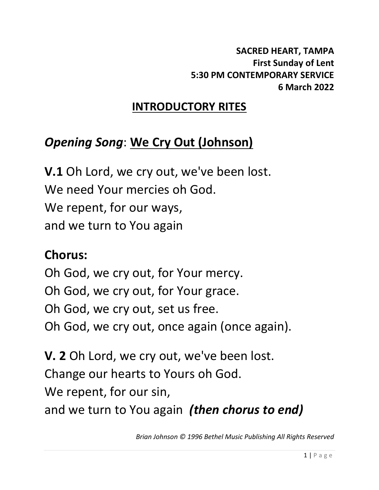# **INTRODUCTORY RITES**

# *Opening Song*: **We Cry Out (Johnson)**

**V.1** Oh Lord, we cry out, we've been lost. We need Your mercies oh God. We repent, for our ways, and we turn to You again

# **Chorus:**

Oh God, we cry out, for Your mercy. Oh God, we cry out, for Your grace. Oh God, we cry out, set us free. Oh God, we cry out, once again (once again).

**V. 2** Oh Lord, we cry out, we've been lost. Change our hearts to Yours oh God. We repent, for our sin, and we turn to You again *(then chorus to end)*

*Brian Johnson © 1996 Bethel Music Publishing All Rights Reserved*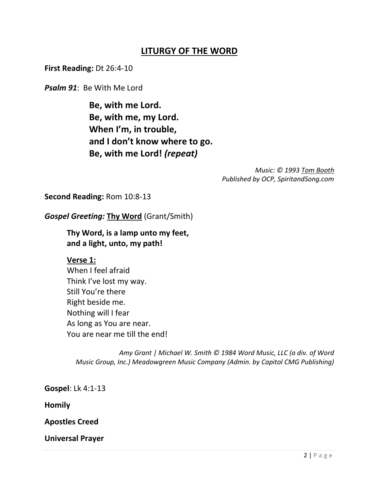### **LITURGY OF THE WORD**

**First Reading:** Dt 26:4-10

*Psalm 91*: Be With Me Lord

**Be, with me Lord. Be, with me, my Lord. When I'm, in trouble, and I don't know where to go. Be, with me Lord!** *(repeat)*

> *Music: © 1993 [Tom Booth](https://www.google.com/search?sxsrf=AOaemvJruKsjUNMTmUIDu5apUm66SKSoKQ:1631300827959&q=Tom+Hemby&stick=H4sIAAAAAAAAAOPgE-LVT9c3NEw2zi1PzzVKV-LSz9U3MCzLrjIv0lLKTrbSzy0tzkzWL0pNzi9KycxLj0_OKS0uSS2ySiwqySwuWcTKGZKfq-CRmptUuYOVEQDgO5u1UAAAAA&sa=X&sqi=2&ved=2ahUKEwjByvySjfXyAhVLq5UCHUIEA8QQmxMoAnoECAUQBA) Published by OCP, SpiritandSong.com*

**Second Reading:** Rom 10:8-13

*Gospel Greeting:* **Thy Word** (Grant/Smith)

**Thy Word, is a lamp unto my feet, and a light, unto, my path!**

#### **Verse 1:**

When I feel afraid Think I've lost my way. Still You're there Right beside me. Nothing will I fear As long as You are near. You are near me till the end!

 *Amy Grant | Michael W. Smith © 1984 Word Music, LLC (a div. of Word Music Group, Inc.) Meadowgreen Music Company (Admin. by Capitol CMG Publishing)*

**Gospel**: Lk 4:1-13

**Homily**

**Apostles Creed**

**Universal Prayer**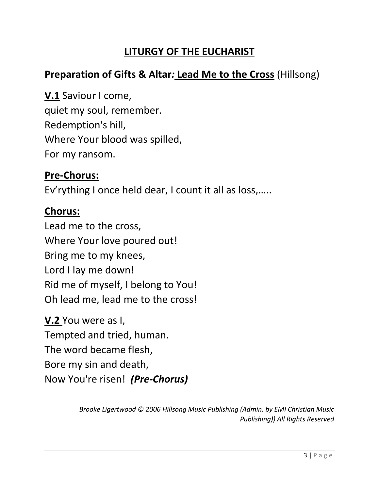## **LITURGY OF THE EUCHARIST**

## **Preparation of Gifts & Altar***:* **Lead Me to the Cross** (Hillsong)

**V.1** Saviour I come, quiet my soul, remember. Redemption's hill, Where Your blood was spilled, For my ransom.

## **Pre-Chorus:**

Ev'rything I once held dear, I count it all as loss,…..

## **Chorus:**

Lead me to the cross, Where Your love poured out! Bring me to my knees, Lord I lay me down! Rid me of myself, I belong to You! Oh lead me, lead me to the cross!

**V.2** You were as I, Tempted and tried, human. The word became flesh, Bore my sin and death, Now You're risen! *(Pre-Chorus)*

> *Brooke Ligertwood © 2006 Hillsong Music Publishing (Admin. by EMI Christian Music Publishing)) All Rights Reserved*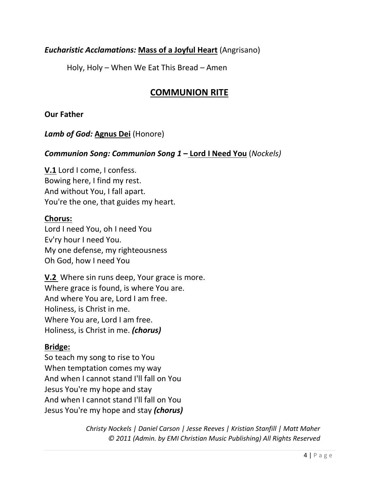### *Eucharistic Acclamations:* **Mass of a Joyful Heart** (Angrisano)

Holy, Holy – When We Eat This Bread – Amen

### **COMMUNION RITE**

**Our Father**

*Lamb of God:* **Agnus Dei** (Honore)

*Communion Song: Communion Song 1* **– Lord I Need You** (*Nockels)*

**V.1** Lord I come, I confess. Bowing here, I find my rest. And without You, I fall apart. You're the one, that guides my heart.

#### **Chorus:**

Lord I need You, oh I need You Ev'ry hour I need You. My one defense, my righteousness Oh God, how I need You

**V.2** Where sin runs deep, Your grace is more. Where grace is found, is where You are. And where You are, Lord I am free. Holiness, is Christ in me. Where You are, Lord I am free. Holiness, is Christ in me. *(chorus)*

### **Bridge:**

So teach my song to rise to You When temptation comes my way And when I cannot stand I'll fall on You Jesus You're my hope and stay And when I cannot stand I'll fall on You Jesus You're my hope and stay *(chorus)*

> *Christy Nockels | Daniel Carson | Jesse Reeves | Kristian Stanfill | Matt Maher © 2011 (Admin. by EMI Christian Music Publishing) All Rights Reserved*